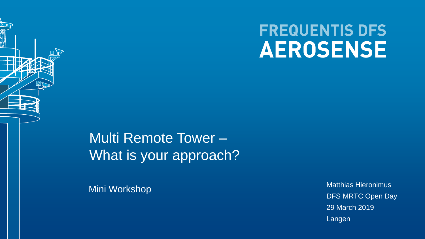# **FREQUENTIS DFS AEROSENSE**

<span id="page-0-0"></span>Multi Remote Tower – What is your approach?

Mini Workshop

Matthias Hieronimus DFS MRTC Open Day 29 March 2019 Langen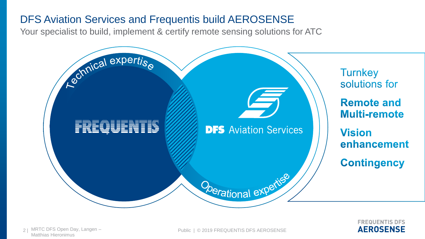# <span id="page-1-0"></span>[D](#page-0-0)FS Aviation Services and Frequentis build AEROSENSE

Your specialist to build, implement & certify remote sensing solutions for ATC



**ERFOUENTIS DES AEROSENSE**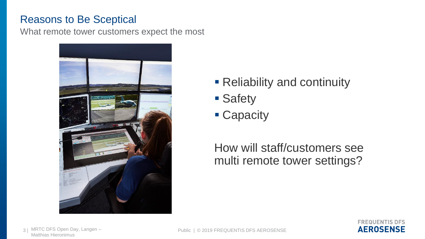#### <span id="page-2-0"></span>[R](#page-1-0)easons to Be Sceptical

What remote tower customers expect the most



- Reliability and continuity
- **Safety**
- Capacity

How will staff/customers see multi remote tower settings?

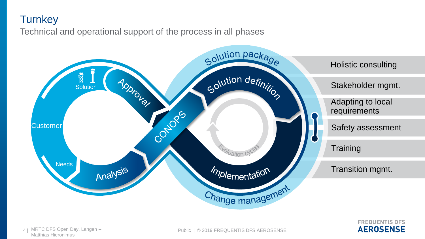#### <span id="page-3-0"></span>**[T](#page-2-0)urnkey**

Technical and operational support of the process in all phases



**ERFOUENTIS DES AEROSENSE**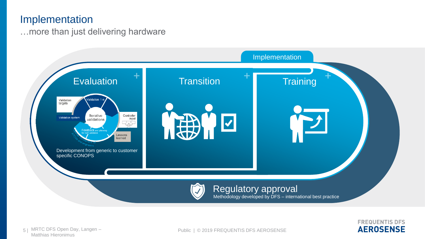#### <span id="page-4-0"></span>[I](#page-3-0)mplementation

…more than just delivering hardware



**FREQUENTIS DFS AEROSENSE**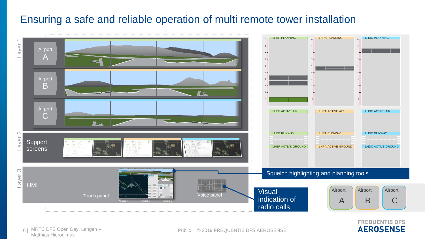### <span id="page-5-0"></span>Ensuring a safe and reliable operation of multi remote tower installation





Matthias Hieronimus 6 |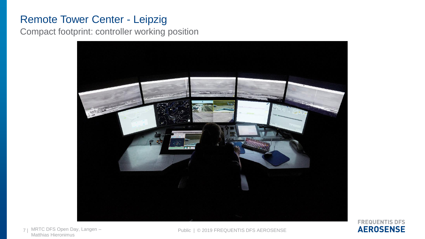# [R](#page-5-0)emote Tower Center - Leipzig

Compact footprint: controller working position



**FREQUENTIS DFS AEROSENSE** 

Matthias Hieronimus 7 | MRTC DFS Open Day, Langen -

Public | © 2019 FREQUENTIS DFS AEROSENSE